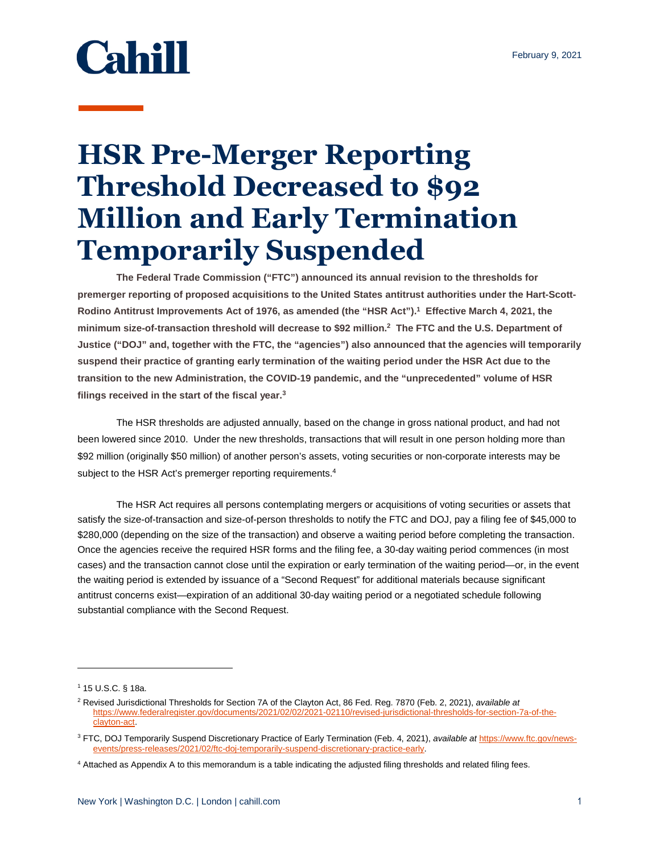## **Cahill**

## **HSR Pre-Merger Reporting Threshold Decreased to \$92 Million and Early Termination Temporarily Suspended**

**The Federal Trade Commission ("FTC") announced its annual revision to the thresholds for premerger reporting of proposed acquisitions to the United States antitrust authorities under the Hart-Scott-Rodino Antitrust Improvements Act of 1976, as amended (the "HSR Act").<sup>1</sup> Effective March 4, 2021, the minimum size-of-transaction threshold will decrease to \$92 million.<sup>2</sup> The FTC and the U.S. Department of Justice ("DOJ" and, together with the FTC, the "agencies") also announced that the agencies will temporarily suspend their practice of granting early termination of the waiting period under the HSR Act due to the transition to the new Administration, the COVID-19 pandemic, and the "unprecedented" volume of HSR filings received in the start of the fiscal year.<sup>3</sup>**

The HSR thresholds are adjusted annually, based on the change in gross national product, and had not been lowered since 2010. Under the new thresholds, transactions that will result in one person holding more than \$92 million (originally \$50 million) of another person's assets, voting securities or non-corporate interests may be subject to the HSR Act's premerger reporting requirements.<sup>4</sup>

The HSR Act requires all persons contemplating mergers or acquisitions of voting securities or assets that satisfy the size-of-transaction and size-of-person thresholds to notify the FTC and DOJ, pay a filing fee of \$45,000 to \$280,000 (depending on the size of the transaction) and observe a waiting period before completing the transaction. Once the agencies receive the required HSR forms and the filing fee, a 30-day waiting period commences (in most cases) and the transaction cannot close until the expiration or early termination of the waiting period—or, in the event the waiting period is extended by issuance of a "Second Request" for additional materials because significant antitrust concerns exist—expiration of an additional 30-day waiting period or a negotiated schedule following substantial compliance with the Second Request.

 $\overline{a}$ 

<sup>1</sup> 15 U.S.C. § 18a.

<sup>2</sup> Revised Jurisdictional Thresholds for Section 7A of the Clayton Act, 86 Fed. Reg. 7870 (Feb. 2, 2021), *available at* [https://www.federalregister.gov/documents/2021/02/02/2021-02110/revised-jurisdictional-thresholds-for-section-7a-of-the](https://www.federalregister.gov/documents/2021/02/02/2021-02110/revised-jurisdictional-thresholds-for-section-7a-of-the-clayton-act)[clayton-act.](https://www.federalregister.gov/documents/2021/02/02/2021-02110/revised-jurisdictional-thresholds-for-section-7a-of-the-clayton-act)

<sup>3</sup> FTC, DOJ Temporarily Suspend Discretionary Practice of Early Termination (Feb. 4, 2021), *available at* [https://www.ftc.gov/news](https://www.ftc.gov/news-events/press-releases/2021/02/ftc-doj-temporarily-suspend-discretionary-practice-early)[events/press-releases/2021/02/ftc-doj-temporarily-suspend-discretionary-practice-early.](https://www.ftc.gov/news-events/press-releases/2021/02/ftc-doj-temporarily-suspend-discretionary-practice-early)

<sup>4</sup> Attached as Appendix A to this memorandum is a table indicating the adjusted filing thresholds and related filing fees.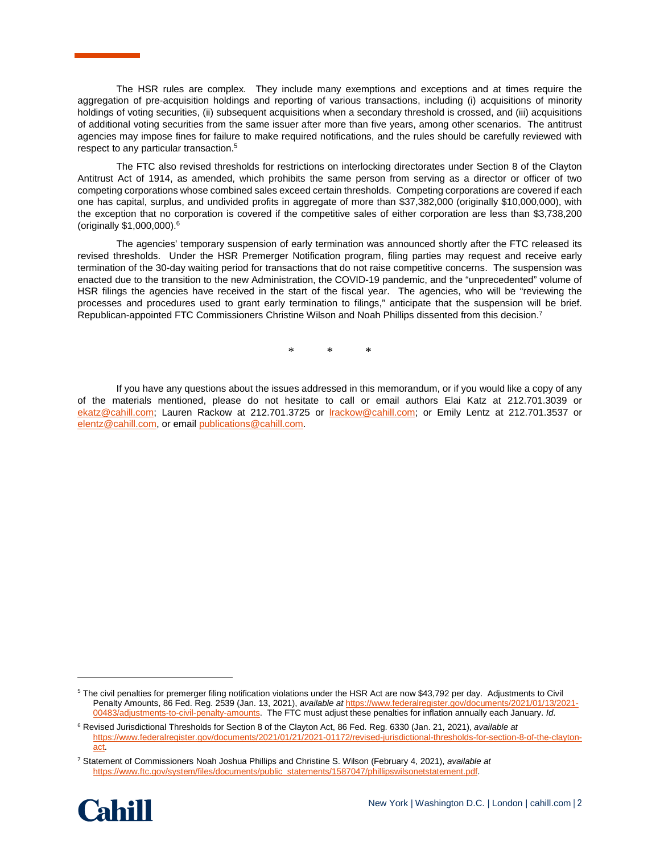The HSR rules are complex. They include many exemptions and exceptions and at times require the aggregation of pre-acquisition holdings and reporting of various transactions, including (i) acquisitions of minority holdings of voting securities, (ii) subsequent acquisitions when a secondary threshold is crossed, and (iii) acquisitions of additional voting securities from the same issuer after more than five years, among other scenarios. The antitrust agencies may impose fines for failure to make required notifications, and the rules should be carefully reviewed with respect to any particular transaction.<sup>5</sup>

The FTC also revised thresholds for restrictions on interlocking directorates under Section 8 of the Clayton Antitrust Act of 1914, as amended, which prohibits the same person from serving as a director or officer of two competing corporations whose combined sales exceed certain thresholds. Competing corporations are covered if each one has capital, surplus, and undivided profits in aggregate of more than \$37,382,000 (originally \$10,000,000), with the exception that no corporation is covered if the competitive sales of either corporation are less than \$3,738,200 (originally \$1,000,000).<sup>6</sup>

The agencies' temporary suspension of early termination was announced shortly after the FTC released its revised thresholds. Under the HSR Premerger Notification program, filing parties may request and receive early termination of the 30-day waiting period for transactions that do not raise competitive concerns. The suspension was enacted due to the transition to the new Administration, the COVID-19 pandemic, and the "unprecedented" volume of HSR filings the agencies have received in the start of the fiscal year. The agencies, who will be "reviewing the processes and procedures used to grant early termination to filings," anticipate that the suspension will be brief. Republican-appointed FTC Commissioners Christine Wilson and Noah Phillips dissented from this decision.<sup>7</sup>

\* \* \*

If you have any questions about the issues addressed in this memorandum, or if you would like a copy of any of the materials mentioned, please do not hesitate to call or email authors Elai Katz at 212.701.3039 or [ekatz@cahill.com;](mailto:ekatz@cahill.com) Lauren Rackow at 212.701.3725 or lrackow@cahill.com; or Emily Lentz at 212.701.3537 or elentz@cahill.com, or emai[l publications@cahill.com.](mailto:publications@cahill.com) 

<sup>7</sup> Statement of Commissioners Noah Joshua Phillips and Christine S. Wilson (February 4, 2021), *available at* [https://www.ftc.gov/system/files/documents/public\\_statements/1587047/phillipswilsonetstatement.pdf.](https://www.ftc.gov/system/files/documents/public_statements/1587047/phillipswilsonetstatement.pdf)



l

<sup>5</sup> The civil penalties for premerger filing notification violations under the HSR Act are now \$43,792 per day. Adjustments to Civil Penalty Amounts, 86 Fed. Reg. 2539 (Jan. 13, 2021), *available at* [https://www.federalregister.gov/documents/2021/01/13/2021-](https://www.federalregister.gov/documents/2021/01/13/2021-00483/adjustments-to-civil-penalty-amounts) [00483/adjustments-to-civil-penalty-amounts.](https://www.federalregister.gov/documents/2021/01/13/2021-00483/adjustments-to-civil-penalty-amounts) The FTC must adjust these penalties for inflation annually each January. *Id*.

<sup>6</sup> Revised Jurisdictional Thresholds for Section 8 of the Clayton Act, 86 Fed. Reg. 6330 (Jan. 21, 2021), *available at*  [https://www.federalregister.gov/documents/2021/01/21/2021-01172/revised-jurisdictional-thresholds-for-section-8-of-the-clayton](https://www.federalregister.gov/documents/2021/01/21/2021-01172/revised-jurisdictional-thresholds-for-section-8-of-the-clayton-act)[act.](https://www.federalregister.gov/documents/2021/01/21/2021-01172/revised-jurisdictional-thresholds-for-section-8-of-the-clayton-act)